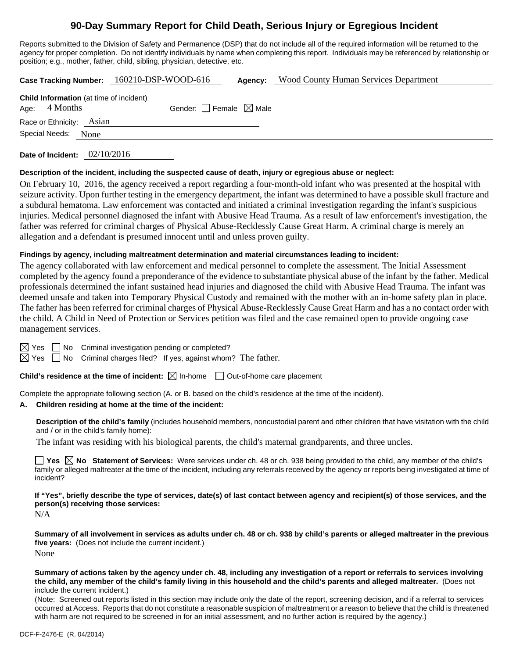# **90-Day Summary Report for Child Death, Serious Injury or Egregious Incident**

Reports submitted to the Division of Safety and Permanence (DSP) that do not include all of the required information will be returned to the agency for proper completion. Do not identify individuals by name when completing this report. Individuals may be referenced by relationship or position; e.g., mother, father, child, sibling, physician, detective, etc.

| <b>Case Tracking Number:</b> | $160210$ -DSP-WOOD-616 | Agency: | Wood County Human Services Department |  |
|------------------------------|------------------------|---------|---------------------------------------|--|
|                              |                        |         |                                       |  |

| Age: $4$ Months          | Child Information (at time of incident) | Gender: $\Box$ Female $\boxtimes$ Male |  |
|--------------------------|-----------------------------------------|----------------------------------------|--|
| Race or Ethnicity: Asian |                                         |                                        |  |
| Special Needs: None      |                                         |                                        |  |
|                          |                                         |                                        |  |

**Date of Incident:** 02/10/2016

#### **Description of the incident, including the suspected cause of death, injury or egregious abuse or neglect:**

On February 10, 2016, the agency received a report regarding a four-month-old infant who was presented at the hospital with seizure activity. Upon further testing in the emergency department, the infant was determined to have a possible skull fracture and a subdural hematoma. Law enforcement was contacted and initiated a criminal investigation regarding the infant's suspicious injuries. Medical personnel diagnosed the infant with Abusive Head Trauma. As a result of law enforcement's investigation, the father was referred for criminal charges of Physical Abuse-Recklessly Cause Great Harm. A criminal charge is merely an allegation and a defendant is presumed innocent until and unless proven guilty.

#### **Findings by agency, including maltreatment determination and material circumstances leading to incident:**

The agency collaborated with law enforcement and medical personnel to complete the assessment. The Initial Assessment completed by the agency found a preponderance of the evidence to substantiate physical abuse of the infant by the father. Medical professionals determined the infant sustained head injuries and diagnosed the child with Abusive Head Trauma. The infant was deemed unsafe and taken into Temporary Physical Custody and remained with the mother with an in-home safety plan in place. The father has been referred for criminal charges of Physical Abuse-Recklessly Cause Great Harm and has a no contact order with the child. A Child in Need of Protection or Services petition was filed and the case remained open to provide ongoing case management services.

 $\boxtimes$  Yes  $\Box$  No Criminal investigation pending or completed?

 $\boxtimes$  Yes  $\Box$  No Criminal charges filed? If yes, against whom? The father.

**Child's residence at the time of incident:**  $\boxtimes$  In-home  $\Box$  Out-of-home care placement

Complete the appropriate following section (A. or B. based on the child's residence at the time of the incident).

#### **A. Children residing at home at the time of the incident:**

**Description of the child's family** (includes household members, noncustodial parent and other children that have visitation with the child and / or in the child's family home):

The infant was residing with his biological parents, the child's maternal grandparents, and three uncles.

■ Yes **No** Statement of Services: Were services under ch. 48 or ch. 938 being provided to the child, any member of the child's family or alleged maltreater at the time of the incident, including any referrals received by the agency or reports being investigated at time of incident?

**If "Yes", briefly describe the type of services, date(s) of last contact between agency and recipient(s) of those services, and the person(s) receiving those services:** 

N/A

**Summary of all involvement in services as adults under ch. 48 or ch. 938 by child's parents or alleged maltreater in the previous five years:** (Does not include the current incident.) None

**Summary of actions taken by the agency under ch. 48, including any investigation of a report or referrals to services involving the child, any member of the child's family living in this household and the child's parents and alleged maltreater.** (Does not include the current incident.)

(Note: Screened out reports listed in this section may include only the date of the report, screening decision, and if a referral to services occurred at Access. Reports that do not constitute a reasonable suspicion of maltreatment or a reason to believe that the child is threatened with harm are not required to be screened in for an initial assessment, and no further action is required by the agency.)